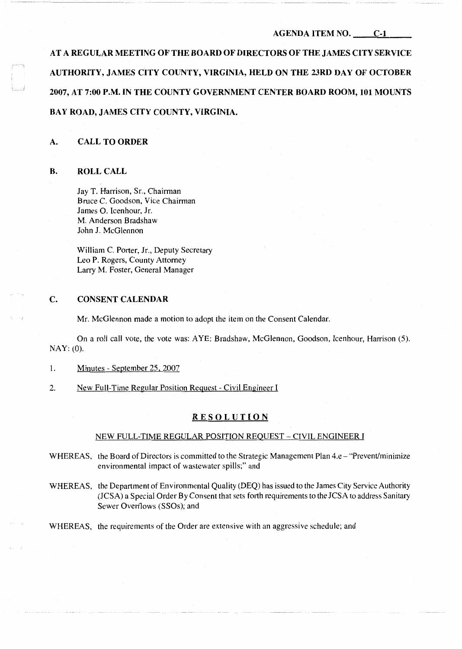### **AGENDA ITEM NO. C-1**

**AT A REGULAR MEETING OF THE BOARD OF DIRECTORS OF THE JAMES CITY SERVICE AUTHORITY, JAMES CITY COUNTY, VIRGINIA, HELD ON THE 23RD DAY OF OCTOBER 2007, AT 7:00 P.M. IN THE COUNTY GOVERNMENT CENTER BOARD ROOM, 101 MOUNTS BAY ROAD, JAMES CITY COUNTY, VIRGINIA.** 

# **A. CALL TO ORDER**

### **B. ROLL CALL**

Jay T. Harrison, Sr., Chairman Bruce C. Goodson, Vice Chairman James 0. Icenhour, Jr. M. Anderson Bradshaw John **J.** McGlennon

William C. Porter, Jr., Deputy Secretary Leo P. Rogers, County Attorney Larry M. Foster, General Manager

# **C. CONSENT CALENDAR**

Mr. McGlennon made a motion to adopt the item on the Consent Calendar.

On a roll call vote, the vote was: A YE: Bradshaw, McGlennon, Goodson, Icenhour, Harrison (5). NAY: (0).

- 1. Minutes September 25, 2007
- 2. New Full-Time Regular Position Request Civil Engineer I

### **RESOLUTION**

### NEW FULL-TIME REGULAR POSITION REQUEST-CIVIL ENGINEER I

- WHEREAS, the Board of Directors is committed to the Strategic Management Plan 4.e "Prevent/minimize" environmental impact of wastewater spills;" and
- WHEREAS, the Department of Environmental Quality (DEQ) has issued to the James City Service Authority (JCSA) a Special Order By Consent that sets forth requirements to the JCSA to address Sanitary Sewer Overflows (SSOs); and
- WHEREAS, the requirements of the Order are extensive with an aggressive schedule; and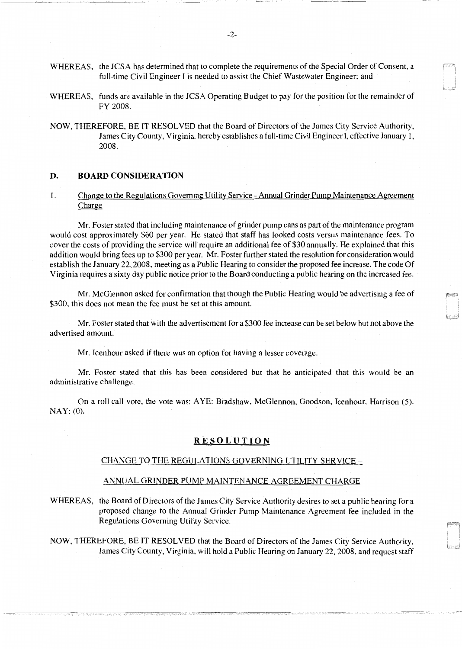- WHEREAS, the JCSA has determined that to complete the requirements of the Special Order of Consent, a full-time Civil Engineer I is needed to assist the Chief Wastewater Engineer; and
- WHEREAS, funds are available in the JCSA Operating Budget to pay for the position for the remainder of FY 2008.
- NOW, THEREFORE, BE IT RESOLVED that the Board of Directors of the James City Service Authority, James City County, Virginia, hereby establishes a full-time Civil Engineer I, effective January l, 2008.

### **D. BOARD CONSIDERATION**

1. Change to the Regulations Governing Utility Service - Annual Grinder Pump Maintenance Agreement Charge

Mr. Foster stated that including maintenance of grinder pump cans as part of the maintenance program would cost approximately \$60 per year. He stated that staff has looked costs versus maintenance fees. To cover the costs of providing the service will require an additional fee of \$30 annually. He explained that this addition would bring fees up to \$300 per year. Mr. Foster further stated the resolution for consideration would establish the January 22, 2008, meeting as a Public Hearing to consider the proposed fee increase. The code Of Virginia requires a sixty day public notice prior to the Board conducting a public hearing on the increased fee.

Mr. McGlennon asked for confirmation that though the Public Hearing would be advertising a fee of \$300, this does not mean the fee must be set at this amount.

Mr. Foster stated that with the advertisement for a \$300 fee increase can be set below but not above the advertised amount.

Mr. Icenhour asked if there was an option for having a lesser coverage.

Mr. Foster stated that this has been considered but that he anticipated that this would be an administrative challenge.

On a roll call vote, the vote was: AYE: Bradshaw, McGlennon, Goodson, Icenhour, Harrison (5). NAY: (0).

### **RESOLUTION**

#### CHANGE TO THE REGULATIONS GOVERNING UTILITY SERVICE-

## ANNUAL GRINDER PUMP MAINTENANCE AGREEMENT CHARGE

WHEREAS, the Board of Directors of the James City Service Authority desires to set a public hearing for a proposed change to the Annual Grinder Pump Maintenance Agreement fee included in the Regulations Governing Utility Service.

NOW, THEREFORE, BE IT RESOLVED that the Board of Directors of the James City Service Authority, James City County, Virginia, will hold a Public Hearing on January 22, 2008, and request staff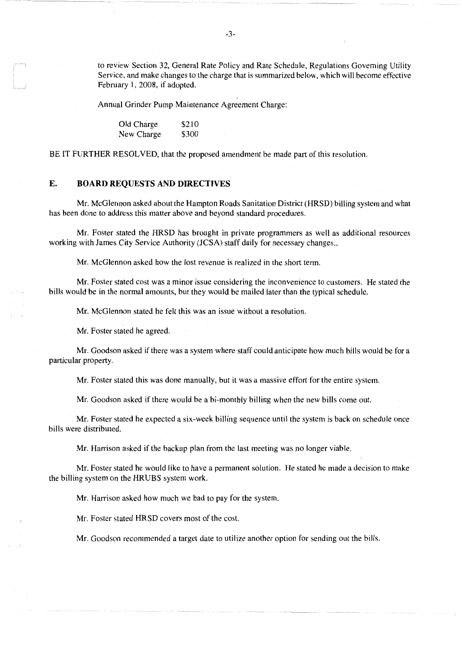to review Section 32, General Rate Policy and Rate Schedule, Regulations Governing Utility Service, and make changes to the charge that is summarized below, which will become effective February l, 2008, if adopted.

Annual Grinder Pump Maintenance Agreement Charge:

Old Charge \$210 New Charge \$300

BE IT FURTHER RESOLVED, that the proposed amendment be made part of this resolution.

# **E. BOARD REQUESTS AND DIRECTIVES**

Mr. McGlennon asked about the Hampton Roads Sanitation District (HRSD) billing system and what has been done to address this matter above and beyond standard procedures.

Mr. Foster stated the HRSD has brought in private programmers as well as additional resources working with James City Service Authority (JCSA) staff daily for necessary changes...

Mr. McGlennon asked how the lost revenue is realized in the short term.

Mr. Foster stated cost was a minor issue considering the inconvenience to customers. He stated the bills would be in the normal amounts, but they would be mailed later than the typical schedule.

Mr. McGlennon stated he felt this was an issue without a resolution.

Mr. Foster stated he agreed.

Mr. Goodson asked if there was a system where staff could anticipate how much bills would be for a particular property.

Mr. Foster stated this was done manually, but it was a massive effort for the entire system.

Mr. Goodson asked if there would be a bi-monthly billing when the new bills come out.

Mr. Foster stated he expected a six-week billing sequence until the system is back on schedule once bills were distributed.

Mr. Harrison asked if the backup plan from the last meeting was *no* longer viable.

Mr. Foster stated he would like to have a permanent solution. He stated he made a decision to make the billing system on the HRUBS system work.

Mr. Harrison asked how much we had to pay for the system.

Mr. Foster stated HRSD covers most of the cost.

Mr. Goodson recommended a target date to utilize another option for sending out the bills.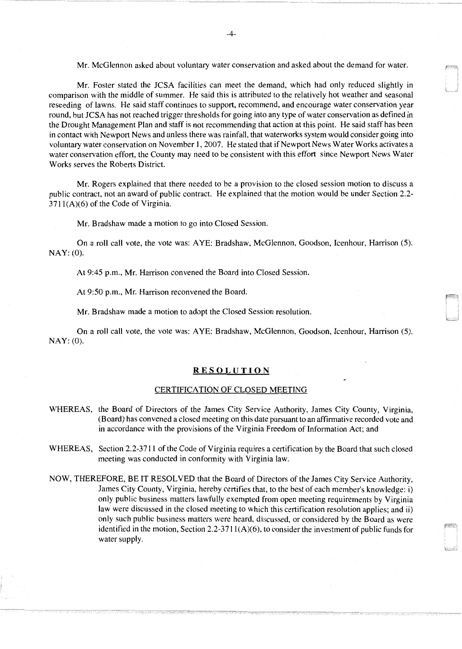Mr. McGlennon asked about voluntary water conservation and asked about the demand for water.

Mr. Foster stated the JCSA facilities can meet the demand, which had only reduced slightly in comparison with the middle of summer. He said this is attributed to the relatively hot weather and seasonal reseeding of lawns. He said staff continues to support, recommend, and encourage water conservation year round, but JCSA has not reached trigger thresholds for going into any type of water conservation as defined in the Drought Management Plan and staff is not recommending that action at this point. He said staff has been in contact with Newport News and unless there was rainfall, that waterworks system would consider going into voluntary water conservation on November l, 2007. He stated that if Newport News Water Works activates a water conservation effort, the County may need to be consistent with this effort since Newport News Water Works serves the Roberts District.

Mr. Rogers explained that there needed to be a provision to the closed session motion to discuss a public contract, not an award of public contract. He explained that the motion would be under Section 2.2-  $3711(A)(6)$  of the Code of Virginia.

Mr. Bradshaw made a motion to go into Closed Session.

On a roll call vote, the vote was: AYE: Bradshaw, McGlennon, Goodson, Icenhour, Harrison (5). NAY: (0).

At 9:45 p.m., Mr. Harrison convened the Board into Closed Session.

At 9:50 p.m., Mr. Harrison reconvened the Board.

Mr. Bradshaw made a motion to adopt the Closed Session resolution.

On a roll call vote, the vote was: AYE: Bradshaw, McGlennon, Goodson, Icenhour, Harrison (5). NAY: (0).

### **RESOLUTION**

#### CERTIFICATION OF CLOSED MEETING

- WHEREAS, the Board of Directors of the James City Service Authority, James City County, Virginia, (Board) has convened a closed meeting on this date pursuant to an affirmative recorded vote and in accordance with the provisions of the Virginia Freedom of Information Act; and
- WHEREAS, Section 2.2-3711 of the Code of Virginia requires a certification by the Board that such closed meeting was conducted in conformity with Virginia law.
- NOW, THEREFORE, BE IT RESOLVED that the Board of Directors of the James City Service Authority, James City County, Virginia, hereby certifies that, to the best of each member's knowledge: i) only public business matters lawfully exempted from open meeting requirements by Virginia law were discussed in the closed meeting to which this certification resolution applies; and ii) only such public business matters were heard, discussed, or considered by the Board as were identified in the motion, Section 2.2-3711 $(A)(6)$ , to consider the investment of public funds for water supply.